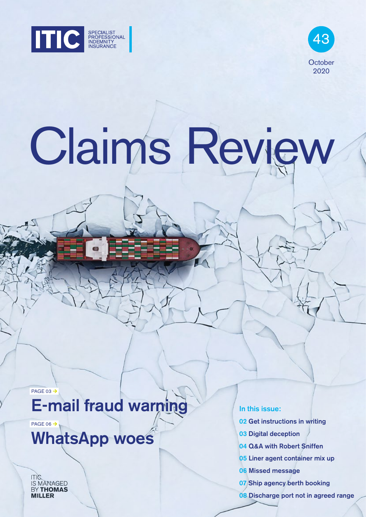



# Claims Review

PAGE 03 $\rightarrow$ 

# E-mail fraud warning

PAGE 06 $\rightarrow$ 

# WhatsApp woes

ITIC IS MANAGED **MILLER** 

In this issue:

- 02 Get instructions in writing
- 03 Digital deception
- 04 Q&A with Robert Sniffen
- 05 Liner agent container mix up
- 06 Missed message
- 07 Ship agency berth booking
- 08 Discharge port not in agreed range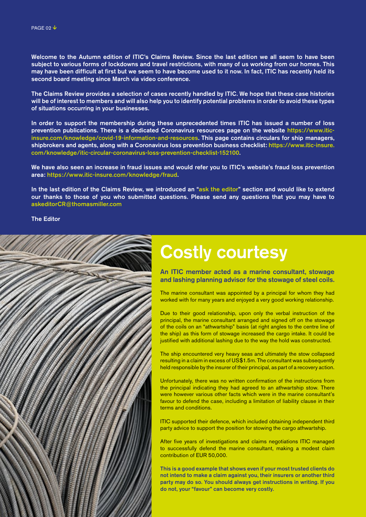Welcome to the Autumn edition of ITIC's Claims Review. Since the last edition we all seem to have been subject to various forms of lockdowns and travel restrictions, with many of us working from our homes. This may have been difficult at first but we seem to have become used to it now. In fact, ITIC has recently held its second board meeting since March via video conference.

The Claims Review provides a selection of cases recently handled by ITIC. We hope that these case histories will be of interest to members and will also help you to identify potential problems in order to avoid these types of situations occurring in your businesses.

In order to support the membership during these unprecedented times ITIC has issued a number of loss prevention publications. There is a dedicated Coronavirus resources page on the website [https://www.itic](https://www.itic-insure.com/knowledge/covid-19-information-and-resources/)[insure.com/knowledge/covid-19-information-and-resources.](https://www.itic-insure.com/knowledge/covid-19-information-and-resources/) This page contains circulars for ship managers, shipbrokers and agents, along with a Coronavirus loss prevention business checklist: [https://www.itic-insure.](https://www.itic-insure.com/knowledge/itic-circular-coronavirus-loss-prevention-checklist-152100/) [com/knowledge/itic-circular-coronavirus-loss-prevention-checklist-152100.](https://www.itic-insure.com/knowledge/itic-circular-coronavirus-loss-prevention-checklist-152100/)

We have also seen an increase in fraud issues and would refer you to ITIC's website's fraud loss prevention area: [https://www.itic-insure.com/knowledge/fraud.](https://www.itic-insure.com/knowledge/fraud/)

In the last edition of the Claims Review, we introduced an "ask the editor" section and would like to extend our thanks to those of you who submitted questions. Please send any questions that you may have to askeditorCR@thomasmiller.com

The Editor



# Costly courtesy

An ITIC member acted as a marine consultant, stowage and lashing planning advisor for the stowage of steel coils.

The marine consultant was appointed by a principal for whom they had worked with for many years and enjoyed a very good working relationship.

Due to their good relationship, upon only the verbal instruction of the principal, the marine consultant arranged and signed off on the stowage of the coils on an "athwartship" basis (at right angles to the centre line of the ship) as this form of stowage increased the cargo intake. It could be justified with additional lashing due to the way the hold was constructed.

The ship encountered very heavy seas and ultimately the stow collapsed resulting in a claim in excess of US\$1.5m. The consultant was subsequently held responsible by the insurer of their principal, as part of a recovery action.

Unfortunately, there was no written confirmation of the instructions from the principal indicating they had agreed to an athwartship stow. There were however various other facts which were in the marine consultant's favour to defend the case, including a limitation of liability clause in their terms and conditions.

ITIC supported their defence, which included obtaining independent third party advice to support the position for stowing the cargo athwartship.

After five years of investigations and claims negotiations ITIC managed to successfully defend the marine consultant, making a modest claim contribution of EUR 50,000.

This is a good example that shows even if your most trusted clients do not intend to make a claim against you, their insurers or another third party may do so. You should always get instructions in writing. If you do not, your "favour" can become very costly.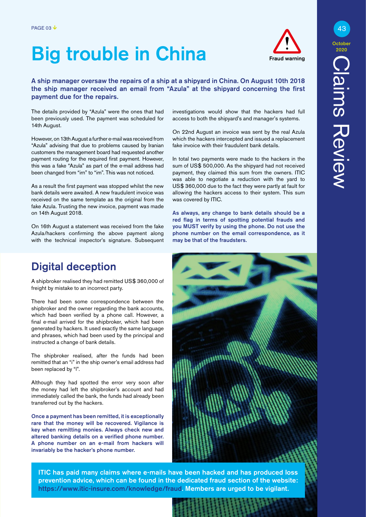# Big trouble in China



#### A ship manager oversaw the repairs of a ship at a shipyard in China. On August 10th 2018 the ship manager received an email from "Azula" at the shipyard concerning the first payment due for the repairs.

The details provided by "Azula" were the ones that had been previously used. The payment was scheduled for 14th August.

However, on 13th August a further e-mail was received from "Azula" advising that due to problems caused by Iranian customers the management board had requested another payment routing for the required first payment. However, this was a fake "Azula" as part of the e-mail address had been changed from "irn" to "im". This was not noticed.

As a result the first payment was stopped whilst the new bank details were awaited. A new fraudulent invoice was received on the same template as the original from the fake Azula. Trusting the new invoice, payment was made on 14th August 2018.

On 16th August a statement was received from the fake Azula/hackers confirming the above payment along with the technical inspector's signature. Subsequent

### Digital deception

A shipbroker realised they had remitted US\$ 360,000 of freight by mistake to an incorrect party.

There had been some correspondence between the shipbroker and the owner regarding the bank accounts, which had been verified by a phone call. However, a final e-mail arrived for the shipbroker, which had been generated by hackers. It used exactly the same language and phrases, which had been used by the principal and instructed a change of bank details.

The shipbroker realised, after the funds had been remitted that an "i" in the ship owner's email address had been replaced by "l".

Although they had spotted the error very soon after the money had left the shipbroker's account and had immediately called the bank, the funds had already been transferred out by the hackers.

Once a payment has been remitted, it is exceptionally rare that the money will be recovered. Vigilance is key when remitting monies. Always check new and altered banking details on a verified phone number. A phone number on an e-mail from hackers will invariably be the hacker's phone number.

investigations would show that the hackers had full access to both the shipyard's and manager's systems.

On 22nd August an invoice was sent by the real Azula which the hackers intercepted and issued a replacement fake invoice with their fraudulent bank details.

In total two payments were made to the hackers in the sum of US\$ 500,000. As the shipyard had not received payment, they claimed this sum from the owners. ITIC was able to negotiate a reduction with the yard to US\$ 360,000 due to the fact they were partly at fault for allowing the hackers access to their system. This sum was covered by ITIC.

As always, any change to bank details should be a red flag in terms of spotting potential frauds and you MUST verify by using the phone. Do not use the phone number on the email correspondence, as it may be that of the fraudsters.



ITIC has paid many claims where e-mails have been hacked and has produced loss prevention advice, which can be found in the dedicated fraud section of the website: [https://www.itic-insure.com/knowledge/fraud](https://www.itic-insure.com/knowledge/fraud/). Members are urged to be vigilant.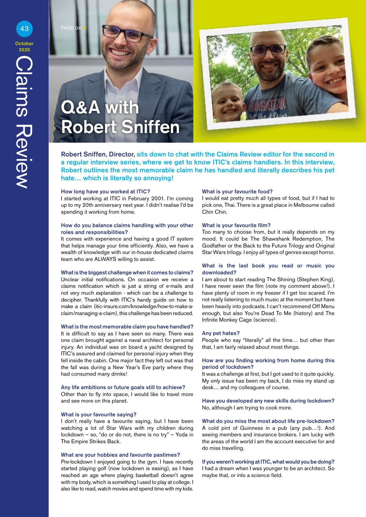# Q&A with Robert Sniffen



Robert Sniffen, Director, sits down to chat with the Claims Review editor for the second in a regular interview series, where we get to know ITIC's claims handlers. In this interview, Robert outlines the most memorable claim he has handled and literally describes his pet hate... which is literally so annoying!

#### How long have you worked at ITIC?

I started working at ITIC in February 2001. I'm coming up to my 20th anniversary next year. I didn't realise I'd be spending it working from home.

#### How do you balance claims handling with your other roles and responsibilities?

It comes with experience and having a good IT system that helps manage your time efficiently. Also, we have a wealth of knowledge with our in-house dedicated claims team who are ALWAYS willing to assist.

#### What is the biggest challenge when it comes to claims?

Unclear initial notifications. On occasion we receive a claims notification which is just a string of e-mails and not very much explanation - which can be a challenge to decipher. Thankfully with ITIC's handy guide on how to make a claim [\(itic-insure.com/knowledge/how-to-make-a](https://www.itic-insure.com/knowledge/how-to-make-a-claim/)[claim/managing-a-claim\), t](https://www.itic-insure.com/knowledge/how-to-make-a-claim/)his challenge has been reduced.

#### What is the most memorable claim you have handled?

It is difficult to say as I have seen so many. There was one claim brought against a naval architect for personal injury. An individual was on board a yacht designed by ITIC's assured and claimed for personal injury when they fell inside the cabin. One major fact they left out was that the fall was during a New Year's Eve party where they had consumed many drinks!

#### Any life ambitions or future goals still to achieve?

Other than to fly into space, I would like to travel more and see more on this planet.

#### What is your favourite saying?

I don't really have a favourite saying, but I have been watching a lot of Star Wars with my children during lockdown – so, "do or do not, there is no try" – Yoda in The Empire Strikes Back.

#### What are your hobbies and favourite pastimes?

Pre-lockdown I enjoyed going to the gym. I have recently started playing golf (now lockdown is easing), as I have reached an age where playing basketball doesn't agree with my body, which is something I used to play at college. I also like to read, watch movies and spend time with my kids.

#### What is your favourite food?

I would eat pretty much all types of food, but if I had to pick one, Thai. There is a great place in Melbourne called Chin Chin.

#### What is your favourite film?

Too many to choose from, but it really depends on my mood. It could be The Shawshank Redemption, The Godfather or the Back to the Future Trilogy and Original Star Wars trilogy. I enjoy all types of genres except horror.

#### What is the last book you read or music you downloaded?

I am about to start reading The Shining (Stephen King), I have never seen the film (note my comment above!). I have plenty of room in my freezer if I get too scared. I'm not really listening to much music at the moment but have been heavily into podcasts. I can't recommend Off Menu enough, but also You're Dead To Me (history) and The Infinite Monkey Cage (science).

#### Any pet hates?

People who say "literally" all the time… but other than that, I am fairly relaxed about most things.

#### How are you finding working from home during this period of lockdown?

It was a challenge at first, but I got used to it quite quickly. My only issue has been my back, I do miss my stand up desk… and my colleagues of course.

Have you developed any new skills during lockdown? No, although I am trying to cook more.

What do you miss the most about life pre-lockdown? A cold pint of Guinness in a pub (any pub…!). And seeing members and insurance brokers. I am lucky with the areas of the world I am the account executive for and do miss travelling.

If you weren't working at ITIC, what would you be doing? I had a dream when I was younger to be an architect. So maybe that, or into a science field.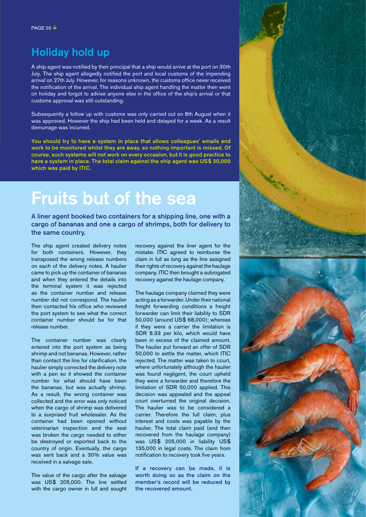### Holiday hold up

A ship agent was notified by their principal that a ship would arrive at the port on 30th July. The ship agent allegedly notified the port and local customs of the impending arrival on 27th July. However, for reasons unknown, the customs office never received the notification of the arrival. The individual ship agent handling the matter then went on holiday and forgot to advise anyone else in the office of the ship's arrival or that customs approval was still outstanding.

Subsequently a follow up with customs was only carried out on 8th August when it was approved. However the ship had been held and delayed for a week. As a result demurrage was incurred.

You should try to have a system in place that allows colleagues' emails and work to be monitored whilst they are away, so nothing important is missed. Of course, such systems will not work on every occasion, but it is good practice to have a system in place. The total claim against the ship agent was US\$ 30,000 which was paid by ITIC.

# Fruits but of the sea

A liner agent booked two containers for a shipping line, one with a cargo of bananas and one a cargo of shrimps, both for delivery to the same country.

The ship agent created delivery notes for both containers. However, they transposed the wrong release numbers on each of the delivery notes. A haulier came to pick up the container of bananas and when they entered the details into the terminal system it was rejected as the container number and release number did not correspond. The haulier then contacted his office who reviewed the port system to see what the correct container number should be for that release number.

The container number was clearly entered into the port system as being shrimp and not bananas. However, rather than contact the line for clarification, the haulier simply corrected the delivery note with a pen so it showed the container number for what should have been the bananas, but was actually shrimp. As a result, the wrong container was collected and the error was only noticed when the cargo of shrimp was delivered to a surprised fruit wholesaler. As the container had been opened without veterinarian inspection and the seal was broken the cargo needed to either be destroyed or exported back to the country of origin. Eventually, the cargo was sent back and a 30% value was received in a salvage sale.

The value of the cargo after the salvage was US\$ 205,000. The line settled with the cargo owner in full and sought recovery against the liner agent for the mistake. ITIC agreed to reimburse the claim in full as long as the line assigned their rights of recovery against the haulage company. ITIC then brought a subrogated recovery against the haulage company.

The haulage company claimed they were acting as a forwarder. Under their national freight forwarding conditions a freight forwarder can limit their liability to SDR 50,000 (around US\$ 68,000); whereas if they were a carrier the limitation is SDR 8.33 per kilo, which would have been in excess of the claimed amount. The haulier put forward an offer of SDR 50,000 to settle the matter, which ITIC rejected. The matter was taken to court, where unfortunately although the haulier was found negligent, the court upheld they were a forwarder and therefore the limitation of SDR 50,000 applied. This decision was appealed and the appeal court overturned the original decision. The haulier was to be considered a carrier. Therefore the full claim, plus interest and costs was payable by the haulier. The total claim paid (and then recovered from the haulage company) was US\$ 205,000 in liability US\$ 135,000 in legal costs. The claim from notification to recovery took five years.

If a recovery can be made, it is worth doing so as the claim on the member's record will be reduced by the recovered amount.

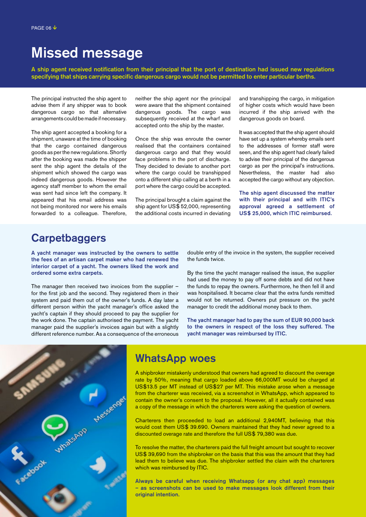# Missed message

A ship agent received notification from their principal that the port of destination had issued new regulations specifying that ships carrying specific dangerous cargo would not be permitted to enter particular berths.

The principal instructed the ship agent to advise them if any shipper was to book dangerous cargo so that alternative arrangements could be made if necessary.

The ship agent accepted a booking for a shipment, unaware at the time of booking that the cargo contained dangerous goods as per the new regulations. Shortly after the booking was made the shipper sent the ship agent the details of the shipment which showed the cargo was indeed dangerous goods. However the agency staff member to whom the email was sent had since left the company. It appeared that his email address was not being monitored nor were his emails forwarded to a colleague. Therefore, neither the ship agent nor the principal were aware that the shipment contained dangerous goods. The cargo was subsequently received at the wharf and accepted onto the ship by the master.

Once the ship was enroute the owner realised that the containers contained dangerous cargo and that they would face problems in the port of discharge. They decided to deviate to another port where the cargo could be transhipped onto a different ship calling at a berth in a port where the cargo could be accepted.

The principal brought a claim against the ship agent for US\$ 52,000, representing the additional costs incurred in deviating and transhipping the cargo, in mitigation of higher costs which would have been incurred if the ship arrived with the dangerous goods on board.

It was accepted that the ship agent should have set up a system whereby emails sent to the addresses of former staff were seen, and the ship agent had clearly failed to advise their principal of the dangerous cargo as per the principal's instructions. Nevertheless, the master had also accepted the cargo without any objection.

The ship agent discussed the matter with their principal and with ITIC's approval agreed a settlement of US\$ 25,000, which ITIC reimbursed.

### **Carpetbaggers**

A yacht manager was instructed by the owners to settle the fees of an artisan carpet maker who had renewed the interior carpet of a yacht. The owners liked the work and ordered some extra carpets.

The manager then received two invoices from the supplier – for the first job and the second. They registered them in their system and paid them out of the owner's funds. A day later a different person within the yacht manager's office asked the yacht's captain if they should proceed to pay the supplier for the work done. The captain authorised the payment. The yacht manager paid the supplier's invoices again but with a slightly different reference number. As a consequence of the erroneous

double entry of the invoice in the system, the supplier received the funds twice.

By the time the yacht manager realised the issue, the supplier had used the money to pay off some debts and did not have the funds to repay the owners. Furthermore, he then fell ill and was hospitalised. It became clear that the extra funds remitted would not be returned. Owners put pressure on the yacht manager to credit the additional money back to them.

The yacht manager had to pay the sum of EUR 90,000 back to the owners in respect of the loss they suffered. The yacht manager was reimbursed by ITIC.



### WhatsApp woes

A shipbroker mistakenly understood that owners had agreed to discount the overage rate by 50%, meaning that cargo loaded above 66,000MT would be charged at US\$13.5 per MT instead of US\$27 per MT. This mistake arose when a message from the charterer was received, via a screenshot in WhatsApp, which appeared to contain the owner's consent to the proposal. However, all it actually contained was a copy of the message in which the charterers were asking the question of owners.

Charterers then proceeded to load an additional 2,940MT, believing that this would cost them US\$ 39.690. Owners maintained that they had never agreed to a discounted overage rate and therefore the full US\$ 79,380 was due.

To resolve the matter, the charterers paid the full freight amount but sought to recover US\$ 39,690 from the shipbroker on the basis that this was the amount that they had lead them to believe was due. The shipbroker settled the claim with the charterers which was reimbursed by ITIC.

Always be careful when receiving Whatsapp (or any chat app) messages – as screenshots can be used to make messages look different from their original intention.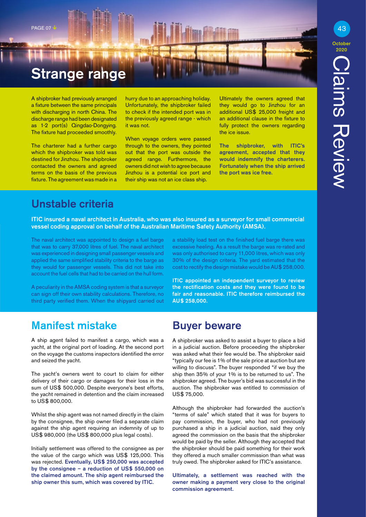# **Strange range**

A shipbroker had previously arranged a fixture between the same principals with discharging in north China. The discharge range had been designated as 1-2 port(s) Qingdao-Dongying. The fixture had proceeded smoothly.

The charterer had a further cargo which the shipbroker was told was destined for Jinzhou. The shipbroker contacted the owners and agreed terms on the basis of the previous fixture. The agreement was made in a hurry due to an approaching holiday. Unfortunately, the shipbroker failed to check if the intended port was in the previously agreed range - which it was not.

When voyage orders were passed through to the owners, they pointed out that the port was outside the agreed range. Furthermore, the owners did not wish to agree because Jinzhou is a potential ice port and their ship was not an ice class ship.

Ultimately the owners agreed that they would go to Jinzhou for an additional US\$ 25,000 freight and an additional clause in the fixture to fully protect the owners regarding the ice issue.

The shipbroker, with ITIC's agreement, accepted that they would indemnify the charterers. Fortunately when the ship arrived the port was ice free.

### Unstable criteria

ITIC insured a naval architect in Australia, who was also insured as a surveyor for small commercial vessel coding approval on behalf of the Australian Maritime Safety Authority (AMSA).

The naval architect was appointed to design a fuel barge that was to carry 37,000 litres of fuel. The naval architect was experienced in designing small passenger vessels and applied the same simplified stability criteria to the barge as they would for passenger vessels. This did not take into account the fuel cells that had to be carried on the hull form.

A peculiarity in the AMSA coding system is that a surveyor can sign off their own stability calculations. Therefore, no third party verified them. When the shipyard carried out a stability load test on the finished fuel barge there was excessive heeling. As a result the barge was re-rated and was only authorised to carry 11,000 litres, which was only 30% of the design criteria. The yard estimated that the cost to rectify the design mistake would be AU\$ 258,000.

ITIC appointed an independent surveyor to review the rectification costs and they were found to be fair and reasonable. ITIC therefore reimbursed the AU\$ 258,000.

### Manifest mistake

A ship agent failed to manifest a cargo, which was a yacht, at the original port of loading. At the second port on the voyage the customs inspectors identified the error and seized the yacht.

The yacht's owners went to court to claim for either delivery of their cargo or damages for their loss in the sum of US\$ 500,000. Despite everyone's best efforts, the yacht remained in detention and the claim increased to US\$ 800,000.

Whilst the ship agent was not named directly in the claim by the consignee, the ship owner filed a separate claim against the ship agent requiring an indemnity of up to US\$ 980,000 (the US\$ 800,000 plus legal costs).

Initially settlement was offered to the consignee as per the value of the cargo which was US\$ 125,000. This was rejected. Eventually, US\$ 250,000 was accepted by the consignee – a reduction of US\$ 550,000 on the claimed amount. The ship agent reimbursed the ship owner this sum, which was covered by ITIC.

### Buyer beware

A shipbroker was asked to assist a buyer to place a bid in a judicial auction. Before proceeding the shipbroker was asked what their fee would be. The shipbroker said "typically our fee is 1% of the sale price at auction but are willing to discuss". The buyer responded "if we buy the ship then 35% of your 1% is to be returned to us". The shipbroker agreed. The buyer's bid was successful in the auction. The shipbroker was entitled to commission of US\$ 75,000.

Although the shipbroker had forwarded the auction's "terms of sale" which stated that it was for buyers to pay commission, the buyer, who had not previously purchased a ship in a judicial auction, said they only agreed the commission on the basis that the shipbroker would be paid by the seller. Although they accepted that the shipbroker should be paid something for their work they offered a much smaller commission than what was truly owed. The shipbroker asked for ITIC's assistance.

Ultimately, a settlement was reached with the owner making a payment very close to the original commission agreement.